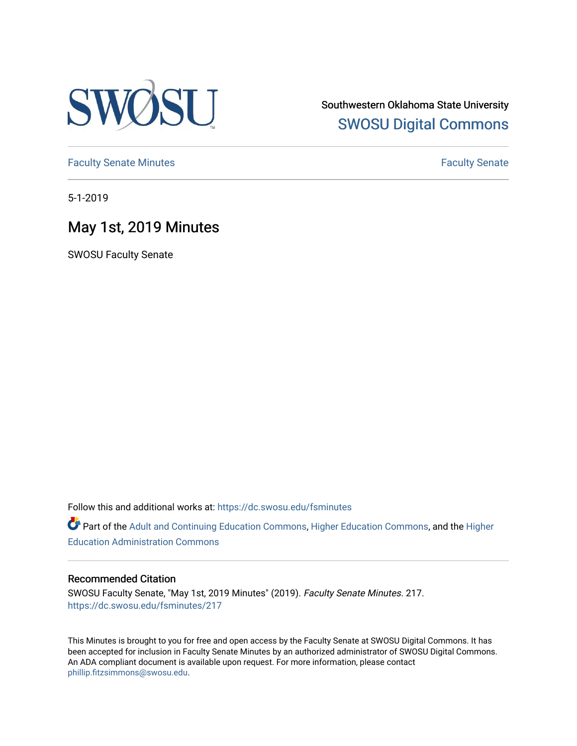

Southwestern Oklahoma State University [SWOSU Digital Commons](https://dc.swosu.edu/) 

[Faculty Senate Minutes](https://dc.swosu.edu/fsminutes) **Faculty** Senate Minutes

5-1-2019

# May 1st, 2019 Minutes

SWOSU Faculty Senate

Follow this and additional works at: [https://dc.swosu.edu/fsminutes](https://dc.swosu.edu/fsminutes?utm_source=dc.swosu.edu%2Ffsminutes%2F217&utm_medium=PDF&utm_campaign=PDFCoverPages) 

Part of the [Adult and Continuing Education Commons,](http://network.bepress.com/hgg/discipline/1375?utm_source=dc.swosu.edu%2Ffsminutes%2F217&utm_medium=PDF&utm_campaign=PDFCoverPages) [Higher Education Commons,](http://network.bepress.com/hgg/discipline/1245?utm_source=dc.swosu.edu%2Ffsminutes%2F217&utm_medium=PDF&utm_campaign=PDFCoverPages) and the [Higher](http://network.bepress.com/hgg/discipline/791?utm_source=dc.swosu.edu%2Ffsminutes%2F217&utm_medium=PDF&utm_campaign=PDFCoverPages) [Education Administration Commons](http://network.bepress.com/hgg/discipline/791?utm_source=dc.swosu.edu%2Ffsminutes%2F217&utm_medium=PDF&utm_campaign=PDFCoverPages) 

#### Recommended Citation

SWOSU Faculty Senate, "May 1st, 2019 Minutes" (2019). Faculty Senate Minutes. 217. [https://dc.swosu.edu/fsminutes/217](https://dc.swosu.edu/fsminutes/217?utm_source=dc.swosu.edu%2Ffsminutes%2F217&utm_medium=PDF&utm_campaign=PDFCoverPages) 

This Minutes is brought to you for free and open access by the Faculty Senate at SWOSU Digital Commons. It has been accepted for inclusion in Faculty Senate Minutes by an authorized administrator of SWOSU Digital Commons. An ADA compliant document is available upon request. For more information, please contact [phillip.fitzsimmons@swosu.edu](mailto:phillip.fitzsimmons@swosu.edu).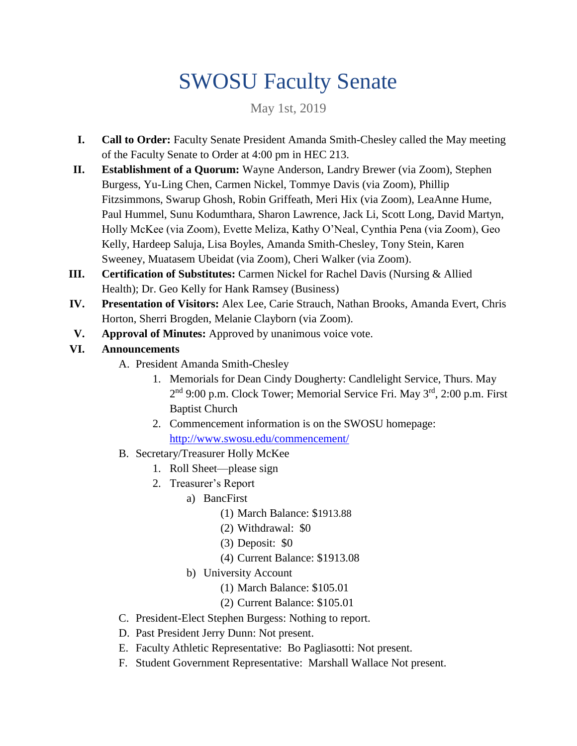# SWOSU Faculty Senate

May 1st, 2019

- **I. Call to Order:** Faculty Senate President Amanda Smith-Chesley called the May meeting of the Faculty Senate to Order at 4:00 pm in HEC 213.
- **II. Establishment of a Quorum:** Wayne Anderson, Landry Brewer (via Zoom), Stephen Burgess, Yu-Ling Chen, Carmen Nickel, Tommye Davis (via Zoom), Phillip Fitzsimmons, Swarup Ghosh, Robin Griffeath, Meri Hix (via Zoom), LeaAnne Hume, Paul Hummel, Sunu Kodumthara, Sharon Lawrence, Jack Li, Scott Long, David Martyn, Holly McKee (via Zoom), Evette Meliza, Kathy O'Neal, Cynthia Pena (via Zoom), Geo Kelly, Hardeep Saluja, Lisa Boyles, Amanda Smith-Chesley, Tony Stein, Karen Sweeney, Muatasem Ubeidat (via Zoom), Cheri Walker (via Zoom).
- **III. Certification of Substitutes: Carmen Nickel for Rachel Davis (Nursing & Allied)** Health); Dr. Geo Kelly for Hank Ramsey (Business)
- **IV. Presentation of Visitors:** Alex Lee, Carie Strauch, Nathan Brooks, Amanda Evert, Chris Horton, Sherri Brogden, Melanie Clayborn (via Zoom).
- **V. Approval of Minutes:** Approved by unanimous voice vote.
- **VI. Announcements**
	- A. President Amanda Smith-Chesley
		- 1. Memorials for Dean Cindy Dougherty: Candlelight Service, Thurs. May 2<sup>nd</sup> 9:00 p.m. Clock Tower; Memorial Service Fri. May 3<sup>rd</sup>, 2:00 p.m. First Baptist Church
		- 2. Commencement information is on the SWOSU homepage: <http://www.swosu.edu/commencement/>
	- B. Secretary/Treasurer Holly McKee
		- 1. Roll Sheet—please sign
		- 2. Treasurer's Report
			- a) BancFirst
				- (1) March Balance: \$1913.88
				- (2) Withdrawal: \$0
				- (3) Deposit: \$0
				- (4) Current Balance: \$1913.08
			- b) University Account
				- (1) March Balance: \$105.01
				- (2) Current Balance: \$105.01
	- C. President-Elect Stephen Burgess: Nothing to report.
	- D. Past President Jerry Dunn: Not present.
	- E. Faculty Athletic Representative: Bo Pagliasotti: Not present.
	- F. Student Government Representative: Marshall Wallace Not present.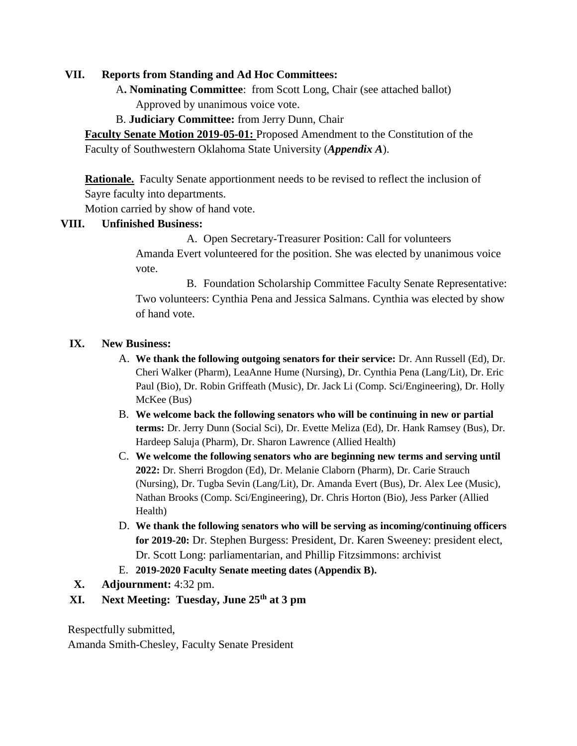#### **VII. Reports from Standing and Ad Hoc Committees:**

 A**. Nominating Committee**: from Scott Long, Chair (see attached ballot) Approved by unanimous voice vote.

B. **Judiciary Committee:** from Jerry Dunn, Chair

**Faculty Senate Motion 2019-05-01:** Proposed Amendment to the Constitution of the Faculty of Southwestern Oklahoma State University (*Appendix A*).

**Rationale.** Faculty Senate apportionment needs to be revised to reflect the inclusion of Sayre faculty into departments.

Motion carried by show of hand vote.

#### **VIII. Unfinished Business:**

A. Open Secretary-Treasurer Position: Call for volunteers

Amanda Evert volunteered for the position. She was elected by unanimous voice vote.

B. Foundation Scholarship Committee Faculty Senate Representative: Two volunteers: Cynthia Pena and Jessica Salmans. Cynthia was elected by show of hand vote.

#### **IX. New Business:**

- A. **We thank the following outgoing senators for their service:** Dr. Ann Russell (Ed), Dr. Cheri Walker (Pharm), LeaAnne Hume (Nursing), Dr. Cynthia Pena (Lang/Lit), Dr. Eric Paul (Bio), Dr. Robin Griffeath (Music), Dr. Jack Li (Comp. Sci/Engineering), Dr. Holly McKee (Bus)
- B. **We welcome back the following senators who will be continuing in new or partial terms:** Dr. Jerry Dunn (Social Sci), Dr. Evette Meliza (Ed), Dr. Hank Ramsey (Bus), Dr. Hardeep Saluja (Pharm), Dr. Sharon Lawrence (Allied Health)
- C. **We welcome the following senators who are beginning new terms and serving until 2022:** Dr. Sherri Brogdon (Ed), Dr. Melanie Claborn (Pharm), Dr. Carie Strauch (Nursing), Dr. Tugba Sevin (Lang/Lit), Dr. Amanda Evert (Bus), Dr. Alex Lee (Music), Nathan Brooks (Comp. Sci/Engineering), Dr. Chris Horton (Bio), Jess Parker (Allied Health)
- D. **We thank the following senators who will be serving as incoming/continuing officers for 2019-20:** Dr. Stephen Burgess: President, Dr. Karen Sweeney: president elect, Dr. Scott Long: parliamentarian, and Phillip Fitzsimmons: archivist
- E. **2019-2020 Faculty Senate meeting dates (Appendix B).**
- **X. Adjournment:** 4:32 pm.
- **XI. Next Meeting: Tuesday, June 25th at 3 pm**

Respectfully submitted,

Amanda Smith-Chesley, Faculty Senate President